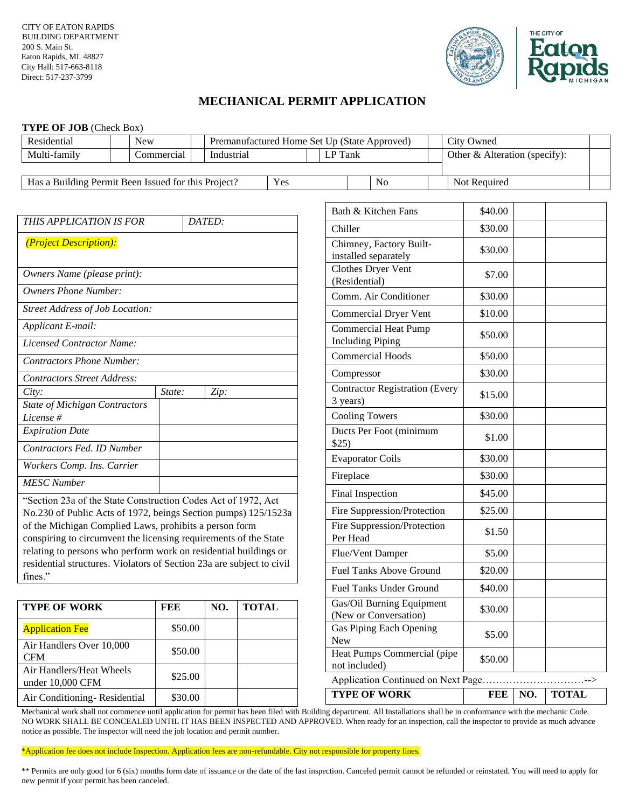

# **MECHANICAL PERMIT APPLICATION**

### **TYPE OF JOB** (Check Box)

| Residential                                                                                                                     | <b>New</b> |         | Premanufactured Home Set Up (State Approved) |              |                                         |                                                 |                             | City Owned                                         |              |                                       |     |              |
|---------------------------------------------------------------------------------------------------------------------------------|------------|---------|----------------------------------------------|--------------|-----------------------------------------|-------------------------------------------------|-----------------------------|----------------------------------------------------|--------------|---------------------------------------|-----|--------------|
| Multi-family                                                                                                                    | Commercial |         | Industrial                                   |              |                                         |                                                 | LP Tank                     |                                                    |              | Other & Alteration (specify):         |     |              |
|                                                                                                                                 |            |         |                                              |              |                                         |                                                 |                             |                                                    |              |                                       |     |              |
| Has a Building Permit Been Issued for this Project?<br>Yes                                                                      |            |         |                                              |              |                                         |                                                 | N <sub>o</sub>              |                                                    | Not Required |                                       |     |              |
|                                                                                                                                 |            |         |                                              |              |                                         |                                                 |                             |                                                    |              |                                       |     |              |
| THIS APPLICATION IS FOR<br>DATED:                                                                                               |            |         |                                              |              |                                         | Bath & Kitchen Fans                             |                             |                                                    | \$40.00      |                                       |     |              |
|                                                                                                                                 |            |         |                                              |              |                                         | Chiller                                         |                             |                                                    | \$30.00      |                                       |     |              |
| (Project Description):                                                                                                          |            |         |                                              |              |                                         | Chimney, Factory Built-<br>installed separately |                             |                                                    |              |                                       |     |              |
| Owners Name (please print):                                                                                                     |            |         |                                              |              |                                         | Clothes Dryer Vent<br>(Residential)             |                             |                                                    |              |                                       |     |              |
| <b>Owners Phone Number:</b>                                                                                                     |            |         |                                              |              |                                         | Comm. Air Conditioner                           |                             |                                                    |              |                                       |     |              |
| <b>Street Address of Job Location:</b>                                                                                          |            |         |                                              |              |                                         | <b>Commercial Dryer Vent</b>                    |                             |                                                    |              |                                       |     |              |
| Applicant E-mail:                                                                                                               |            |         |                                              |              |                                         |                                                 | <b>Commercial Heat Pump</b> |                                                    |              | \$50.00                               |     |              |
| <b>Licensed Contractor Name:</b>                                                                                                |            |         |                                              |              |                                         |                                                 | <b>Including Piping</b>     |                                                    |              |                                       |     |              |
| <b>Contractors Phone Number:</b>                                                                                                |            |         |                                              |              |                                         |                                                 | <b>Commercial Hoods</b>     |                                                    |              | \$50.00                               |     |              |
| <b>Contractors Street Address:</b>                                                                                              |            |         |                                              |              |                                         |                                                 | Compressor                  |                                                    |              | \$30.00                               |     |              |
| City:                                                                                                                           | State:     |         | Zip:                                         |              |                                         |                                                 | 3 years)                    | <b>Contractor Registration (Every</b>              |              | \$15.00                               |     |              |
| State of Michigan Contractors<br>License #                                                                                      |            |         |                                              |              |                                         |                                                 |                             | <b>Cooling Towers</b>                              |              | \$30.00                               |     |              |
| <b>Expiration Date</b>                                                                                                          |            |         |                                              |              |                                         |                                                 |                             | Ducts Per Foot (minimum                            |              |                                       |     |              |
| Contractors Fed. ID Number                                                                                                      |            |         |                                              |              |                                         | \$25)                                           |                             |                                                    |              | \$1.00                                |     |              |
| Workers Comp. Ins. Carrier                                                                                                      |            |         |                                              |              |                                         |                                                 |                             | <b>Evaporator Coils</b>                            |              | \$30.00                               |     |              |
| <b>MESC</b> Number                                                                                                              |            |         |                                              |              |                                         |                                                 | Fireplace                   |                                                    |              | \$30.00                               |     |              |
|                                                                                                                                 |            |         |                                              |              |                                         |                                                 |                             | Final Inspection                                   |              | \$45.00                               |     |              |
| "Section 23a of the State Construction Codes Act of 1972, Act<br>No.230 of Public Acts of 1972, beings Section pumps) 125/1523a |            |         |                                              |              | Fire Suppression/Protection             |                                                 |                             | \$25.00                                            |              |                                       |     |              |
| of the Michigan Complied Laws, prohibits a person form<br>conspiring to circumvent the licensing requirements of the State      |            |         |                                              |              | Fire Suppression/Protection<br>Per Head |                                                 |                             | \$1.50                                             |              |                                       |     |              |
| relating to persons who perform work on residential buildings or                                                                |            |         |                                              |              | Flue/Vent Damper                        |                                                 |                             | \$5.00                                             |              |                                       |     |              |
| residential structures. Violators of Section 23a are subject to civil<br>fines."                                                |            |         |                                              |              |                                         | Fuel Tanks Above Ground                         |                             |                                                    | \$20.00      |                                       |     |              |
|                                                                                                                                 |            |         |                                              |              |                                         |                                                 |                             | <b>Fuel Tanks Under Ground</b>                     |              | \$40.00                               |     |              |
| <b>TYPE OF WORK</b>                                                                                                             | <b>FEE</b> |         | NO.                                          | <b>TOTAL</b> |                                         |                                                 |                             | Gas/Oil Burning Equipment<br>(New or Conversation) |              | \$30.00                               |     |              |
| <b>Application Fee</b>                                                                                                          |            | \$50.00 |                                              |              |                                         | New                                             |                             | Gas Piping Each Opening                            |              | \$5.00                                |     |              |
| Air Handlers Over 10,000<br><b>CFM</b>                                                                                          |            | \$50.00 |                                              |              |                                         |                                                 |                             | Heat Pumps Commercial (pipe                        |              | \$50.00                               |     |              |
| Air Handlers/Heat Wheels                                                                                                        |            | \$25.00 |                                              |              |                                         |                                                 | not included)               |                                                    |              | Application Continued on Next Page--> |     |              |
| under 10,000 CFM<br>Air Conditioning-Residential                                                                                |            | \$30.00 |                                              |              |                                         |                                                 |                             | <b>TYPE OF WORK</b>                                |              | <b>FEE</b>                            | NO. | <b>TOTAL</b> |
|                                                                                                                                 |            |         |                                              |              |                                         |                                                 |                             |                                                    |              |                                       |     |              |

Mechanical work shall not commence until application for permit has been filed with Building department. All Installations shall be in conformance with the mechanic Code. NO WORK SHALL BE CONCEALED UNTIL IT HAS BEEN INSPECTED AND APPROVED. When ready for an inspection, call the inspector to provide as much advance notice as possible. The inspector will need the job location and permit number.

\*Application fee does not include Inspection. Application fees are non-refundable. City not responsible for property lines.

\*\* Permits are only good for 6 (six) months form date of issuance or the date of the last inspection. Canceled permit cannot be refunded or reinstated. You will need to apply for new permit if your permit has been canceled.